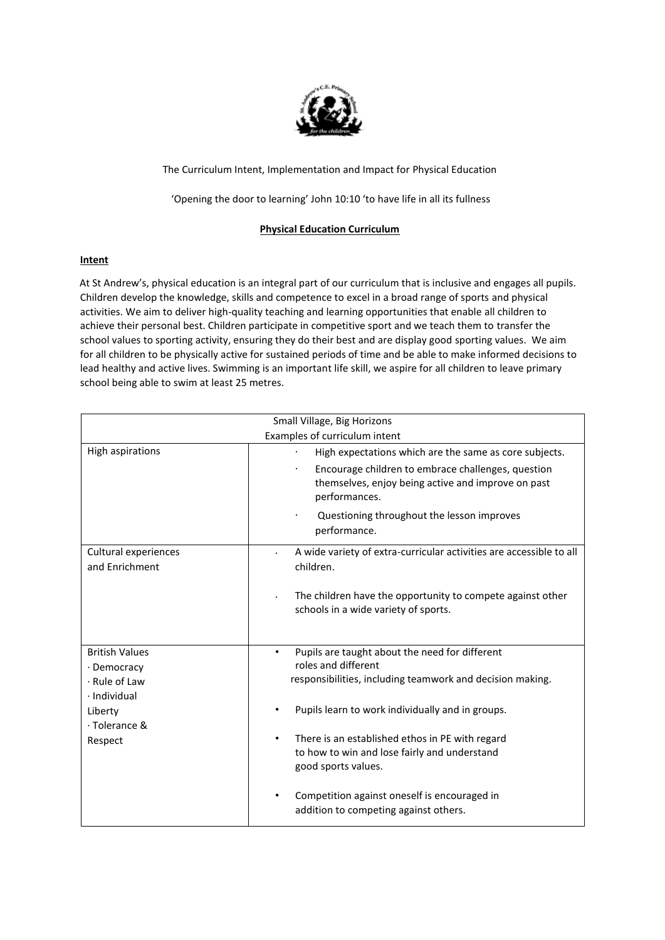

# The Curriculum Intent, Implementation and Impact for Physical Education

'Opening the door to learning' John 10:10 'to have life in all its fullness

# **Physical Education Curriculum**

## **Intent**

At St Andrew's, physical education is an integral part of our curriculum that is inclusive and engages all pupils. Children develop the knowledge, skills and competence to excel in a broad range of sports and physical activities. We aim to deliver high-quality teaching and learning opportunities that enable all children to achieve their personal best. Children participate in competitive sport and we teach them to transfer the school values to sporting activity, ensuring they do their best and are display good sporting values. We aim for all children to be physically active for sustained periods of time and be able to make informed decisions to lead healthy and active lives. Swimming is an important life skill, we aspire for all children to leave primary school being able to swim at least 25 metres.

| Small Village, Big Horizons            |                                                                                                                           |
|----------------------------------------|---------------------------------------------------------------------------------------------------------------------------|
| Examples of curriculum intent          |                                                                                                                           |
| High aspirations                       | High expectations which are the same as core subjects.                                                                    |
|                                        | Encourage children to embrace challenges, question<br>themselves, enjoy being active and improve on past<br>performances. |
|                                        | Questioning throughout the lesson improves<br>performance.                                                                |
| Cultural experiences<br>and Enrichment | A wide variety of extra-curricular activities are accessible to all<br>children.                                          |
|                                        | The children have the opportunity to compete against other<br>schools in a wide variety of sports.                        |
| <b>British Values</b><br>· Democracy   | Pupils are taught about the need for different<br>$\bullet$<br>roles and different                                        |
| · Rule of Law<br>· Individual          | responsibilities, including teamwork and decision making.                                                                 |
| Liberty<br>· Tolerance &               | Pupils learn to work individually and in groups.                                                                          |
| Respect                                | There is an established ethos in PE with regard<br>to how to win and lose fairly and understand<br>good sports values.    |
|                                        | Competition against oneself is encouraged in<br>addition to competing against others.                                     |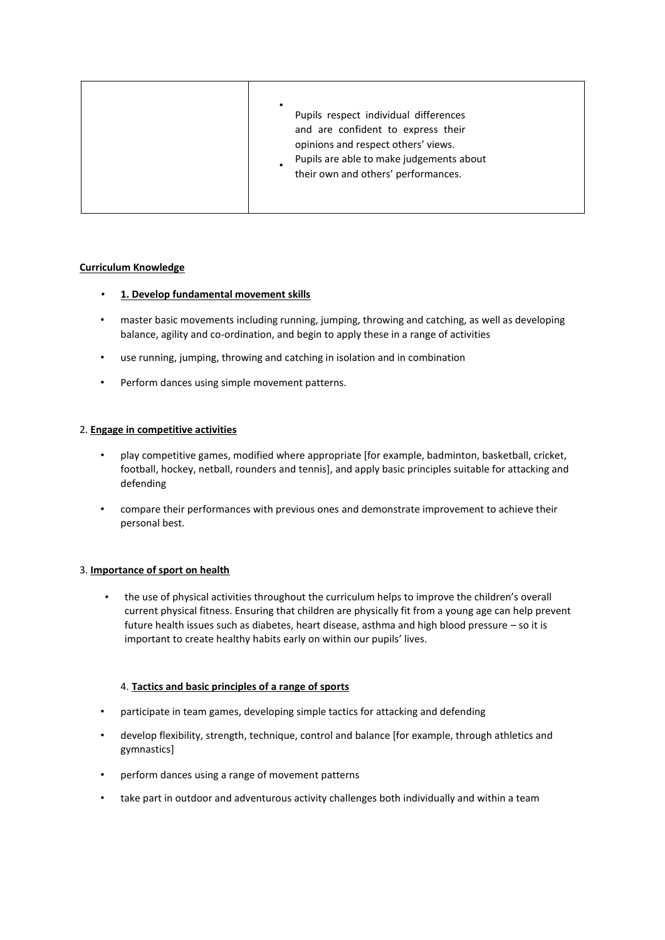| ٠<br>Pupils respect individual differences<br>and are confident to express their<br>opinions and respect others' views. |
|-------------------------------------------------------------------------------------------------------------------------|
| Pupils are able to make judgements about<br>their own and others' performances.                                         |

## **Curriculum Knowledge**

- **1. Develop fundamental movement skills**
- master basic movements including running, jumping, throwing and catching, as well as developing balance, agility and co-ordination, and begin to apply these in a range of activities
- use running, jumping, throwing and catching in isolation and in combination
- Perform dances using simple movement patterns.

## 2. **Engage in competitive activities**

- play competitive games, modified where appropriate [for example, badminton, basketball, cricket, football, hockey, netball, rounders and tennis], and apply basic principles suitable for attacking and defending
- compare their performances with previous ones and demonstrate improvement to achieve their personal best.

## 3. **Importance of sport on health**

• the use of physical activities throughout the curriculum helps to improve the children's overall current physical fitness. Ensuring that children are physically fit from a young age can help prevent future health issues such as diabetes, heart disease, asthma and high blood pressure – so it is important to create healthy habits early on within our pupils' lives.

# 4. **Tactics and basic principles of a range of sports**

- participate in team games, developing simple tactics for attacking and defending
- develop flexibility, strength, technique, control and balance [for example, through athletics and gymnastics]
- perform dances using a range of movement patterns
- take part in outdoor and adventurous activity challenges both individually and within a team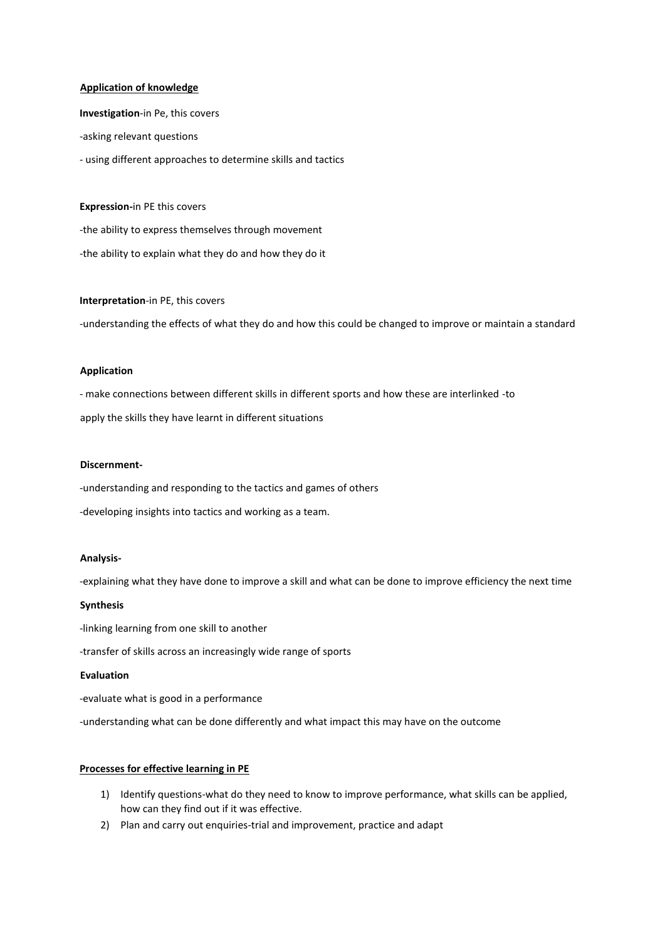#### **Application of knowledge**

**Investigation**-in Pe, this covers -asking relevant questions - using different approaches to determine skills and tactics

**Expression-**in PE this covers

-the ability to express themselves through movement -the ability to explain what they do and how they do it

#### **Interpretation**-in PE, this covers

-understanding the effects of what they do and how this could be changed to improve or maintain a standard

#### **Application**

- make connections between different skills in different sports and how these are interlinked -to apply the skills they have learnt in different situations

#### **Discernment-**

-understanding and responding to the tactics and games of others

-developing insights into tactics and working as a team.

## **Analysis-**

-explaining what they have done to improve a skill and what can be done to improve efficiency the next time

## **Synthesis**

-linking learning from one skill to another

-transfer of skills across an increasingly wide range of sports

#### **Evaluation**

-evaluate what is good in a performance

-understanding what can be done differently and what impact this may have on the outcome

#### **Processes for effective learning in PE**

- 1) Identify questions-what do they need to know to improve performance, what skills can be applied, how can they find out if it was effective.
- 2) Plan and carry out enquiries-trial and improvement, practice and adapt